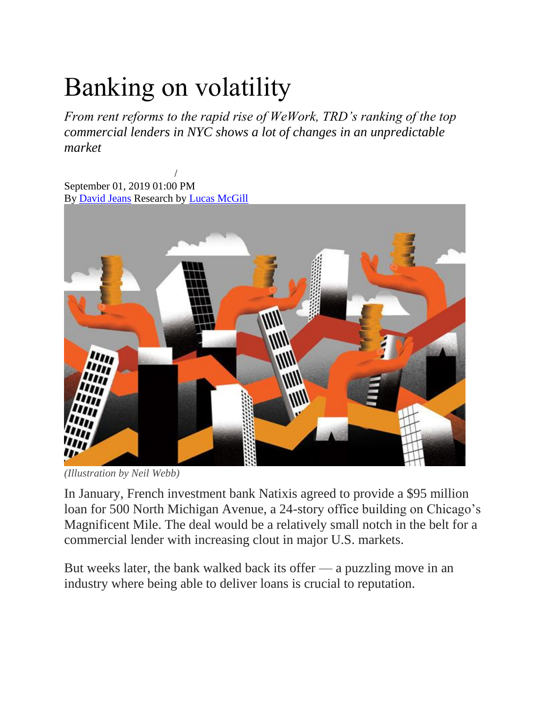### Banking on volatility

*From rent reforms to the rapid rise of WeWork, TRD's ranking of the top commercial lenders in NYC shows a lot of changes in an unpredictable market*

[September 2019 Issue](https://therealdeal.com/magazine/september-2019) / September 01, 2019 01:00 PM By [David Jeans](https://therealdeal.com/looks/David+Jeans/by/) Research by [Lucas McGill](https://therealdeal.com/looks/Lucas+McGill/by/)



*(Illustration by Neil Webb)*

In January, French investment bank Natixis agreed to provide a \$95 million loan for 500 North Michigan Avenue, a 24-story office building on Chicago's Magnificent Mile. The deal would be a relatively small notch in the belt for a commercial lender with increasing clout in major U.S. markets.

But weeks later, the bank walked back its offer — a puzzling move in an industry where being able to deliver loans is crucial to reputation.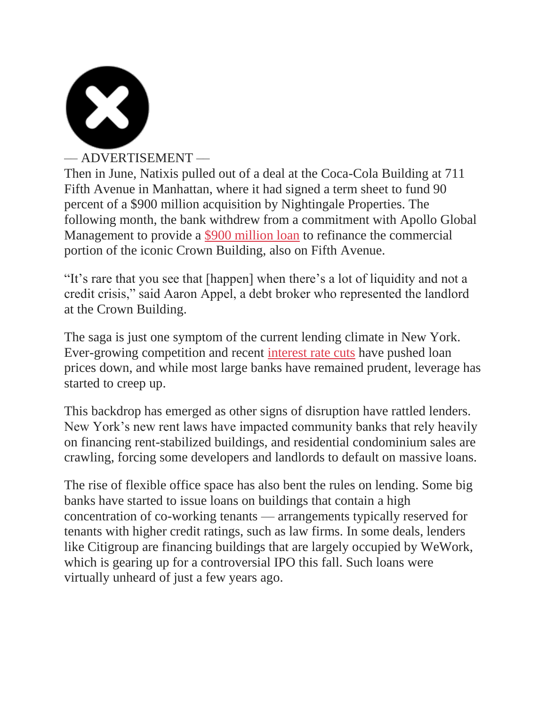

#### –– ADVERTISEMENT ––

Then in June, Natixis pulled out of a deal at the Coca-Cola Building at 711 Fifth Avenue in Manhattan, where it had signed a term sheet to fund 90 percent of a \$900 million acquisition by Nightingale Properties. The following month, the bank withdrew from a commitment with Apollo Global Management to provide a [\\$900 million loan](https://therealdeal.com/2019/07/10/crown-building-owners-in-talks-with-natixis-apollo-for-900m-refi/) to refinance the commercial portion of the iconic Crown Building, also on Fifth Avenue.

"It's rare that you see that [happen] when there's a lot of liquidity and not a credit crisis," said Aaron Appel, a debt broker who represented the landlord at the Crown Building.

The saga is just one symptom of the current lending climate in New York. Ever-growing competition and recent [interest rate cuts](https://therealdeal.com/national/2019/07/31/heres-what-a-fed-reserve-rate-cut-would-mean-to-the-us-housing-market/) have pushed loan prices down, and while most large banks have remained prudent, leverage has started to creep up.

This backdrop has emerged as other signs of disruption have rattled lenders. New York's new rent laws have impacted community banks that rely heavily on financing rent-stabilized buildings, and residential condominium sales are crawling, forcing some developers and landlords to default on massive loans.

The rise of flexible office space has also bent the rules on lending. Some big banks have started to issue loans on buildings that contain a high concentration of co-working tenants — arrangements typically reserved for tenants with higher credit ratings, such as law firms. In some deals, lenders like Citigroup are financing buildings that are largely occupied by WeWork, which is gearing up for a controversial IPO this fall. Such loans were virtually unheard of just a few years ago.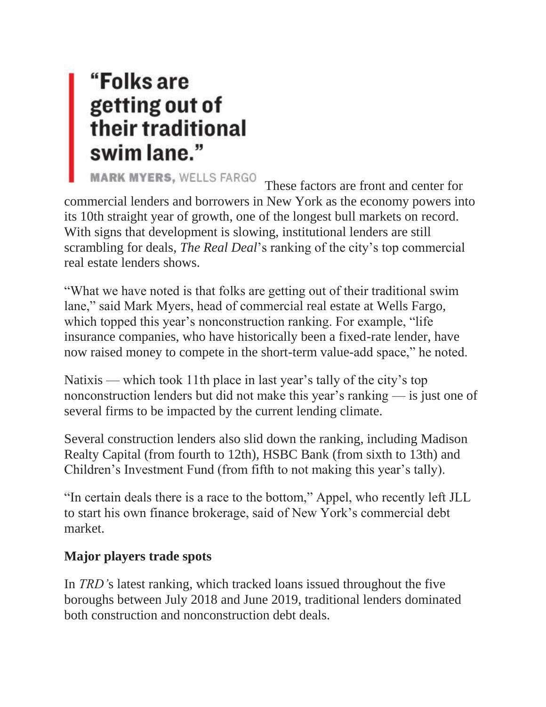# "Folks are getting out of<br>their traditional<br>swim lane."

MARK MYERS, WELLS FARGO<br>These factors are front and center for commercial lenders and borrowers in New York as the economy powers into its 10th straight year of growth, one of the longest bull markets on record. With signs that development is slowing, institutional lenders are still scrambling for deals, *The Real Deal*'s ranking of the city's top commercial real estate lenders shows.

"What we have noted is that folks are getting out of their traditional swim lane," said Mark Myers, head of commercial real estate at Wells Fargo, which topped this year's nonconstruction ranking. For example, "life" insurance companies, who have historically been a fixed-rate lender, have now raised money to compete in the short-term value-add space," he noted.

Natixis — which took 11th place in last year's tally of the city's top nonconstruction lenders but did not make this year's ranking — is just one of several firms to be impacted by the current lending climate.

Several construction lenders also slid down the ranking, including Madison Realty Capital (from fourth to 12th), HSBC Bank (from sixth to 13th) and Children's Investment Fund (from fifth to not making this year's tally).

"In certain deals there is a race to the bottom," Appel, who recently left JLL to start his own finance brokerage, said of New York's commercial debt market.

#### **Major players trade spots**

In *TRD'*s latest ranking, which tracked loans issued throughout the five boroughs between July 2018 and June 2019, traditional lenders dominated both construction and nonconstruction debt deals.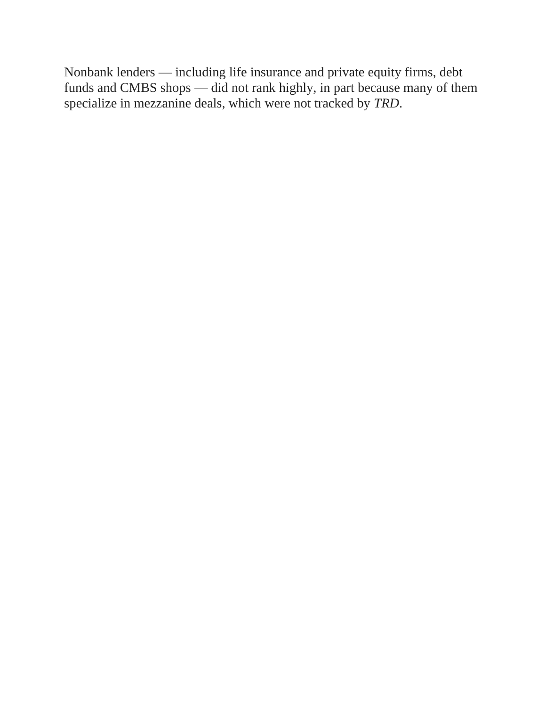Nonbank lenders — including life insurance and private equity firms, debt funds and CMBS shops — did not rank highly, in part because many of them specialize in mezzanine deals, which were not tracked by *TRD*.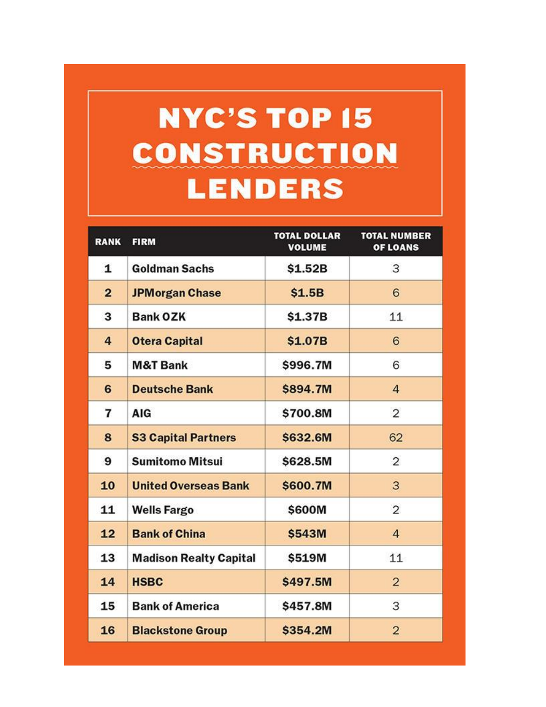### **NYC'S TOP 15 CONSTRUCTION LENDERS**

| <b>RANK</b>    | <b>FIRM</b>                   | <b>TOTAL DOLLAR</b><br><b>VOLUME</b> | <b>TOTAL NUMBER</b><br>OF LOANS |
|----------------|-------------------------------|--------------------------------------|---------------------------------|
| 1              | <b>Goldman Sachs</b>          | \$1.52B                              | 3                               |
| $\overline{2}$ | <b>JPMorgan Chase</b>         | \$1.5B                               | 6                               |
| 3              | <b>Bank OZK</b>               | \$1.37B                              | 11                              |
| 4              | <b>Otera Capital</b>          | \$1.07B                              | 6                               |
| 5              | <b>M&amp;T Bank</b>           | \$996.7M                             | 6                               |
| 6              | <b>Deutsche Bank</b>          | \$894.7M                             | $\overline{4}$                  |
| 7              | <b>AIG</b>                    | \$700.8M                             | $\overline{2}$                  |
| 8              | <b>S3 Capital Partners</b>    | \$632.6M                             | 62                              |
| 9              | <b>Sumitomo Mitsui</b>        | \$628.5M                             | 2                               |
| 10             | <b>United Overseas Bank</b>   | \$600.7M                             | 3                               |
| 11             | <b>Wells Fargo</b>            | \$600M                               | $\overline{2}$                  |
| 12             | <b>Bank of China</b>          | \$543M                               | $\overline{4}$                  |
| 13             | <b>Madison Realty Capital</b> | \$519M                               | 11                              |
| 14             | <b>HSBC</b>                   | \$497.5M                             | $\overline{2}$                  |
| 15             | <b>Bank of America</b>        | \$457.8M                             | 3                               |
| 16             | <b>Blackstone Group</b>       | \$354.2M                             | $\overline{2}$                  |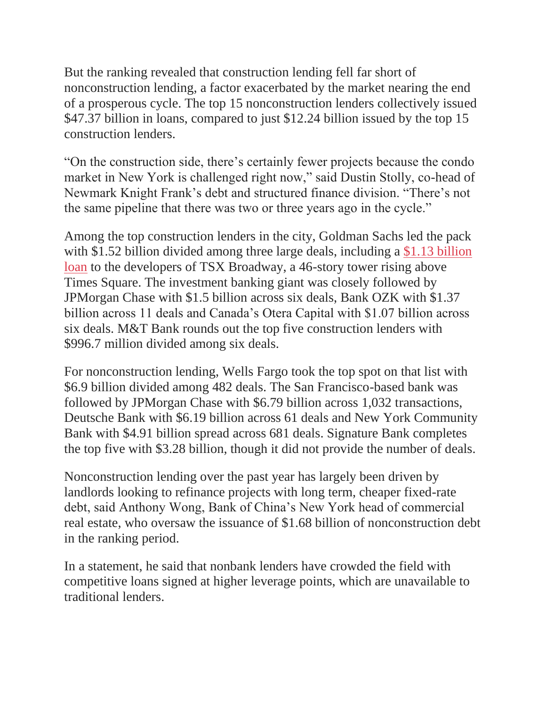But the ranking revealed that construction lending fell far short of nonconstruction lending, a factor exacerbated by the market nearing the end of a prosperous cycle. The top 15 nonconstruction lenders collectively issued \$47.37 billion in loans, compared to just \$12.24 billion issued by the top 15 construction lenders.

"On the construction side, there's certainly fewer projects because the condo market in New York is challenged right now," said Dustin Stolly, co-head of Newmark Knight Frank's debt and structured finance division. "There's not the same pipeline that there was two or three years ago in the cycle."

Among the top construction lenders in the city, Goldman Sachs led the pack with \$1.52 billion divided among three large deals, including a \$1.13 billion [loan](https://therealdeal.com/2018/12/13/tsx-broadway-developers-land-more-than-780m-in-new-equity/) to the developers of TSX Broadway, a 46-story tower rising above Times Square. The investment banking giant was closely followed by JPMorgan Chase with \$1.5 billion across six deals, Bank OZK with \$1.37 billion across 11 deals and Canada's Otera Capital with \$1.07 billion across six deals. M&T Bank rounds out the top five construction lenders with \$996.7 million divided among six deals.

For nonconstruction lending, Wells Fargo took the top spot on that list with \$6.9 billion divided among 482 deals. The San Francisco-based bank was followed by JPMorgan Chase with \$6.79 billion across 1,032 transactions, Deutsche Bank with \$6.19 billion across 61 deals and New York Community Bank with \$4.91 billion spread across 681 deals. Signature Bank completes the top five with \$3.28 billion, though it did not provide the number of deals.

Nonconstruction lending over the past year has largely been driven by landlords looking to refinance projects with long term, cheaper fixed-rate debt, said Anthony Wong, Bank of China's New York head of commercial real estate, who oversaw the issuance of \$1.68 billion of nonconstruction debt in the ranking period.

In a statement, he said that nonbank lenders have crowded the field with competitive loans signed at higher leverage points, which are unavailable to traditional lenders.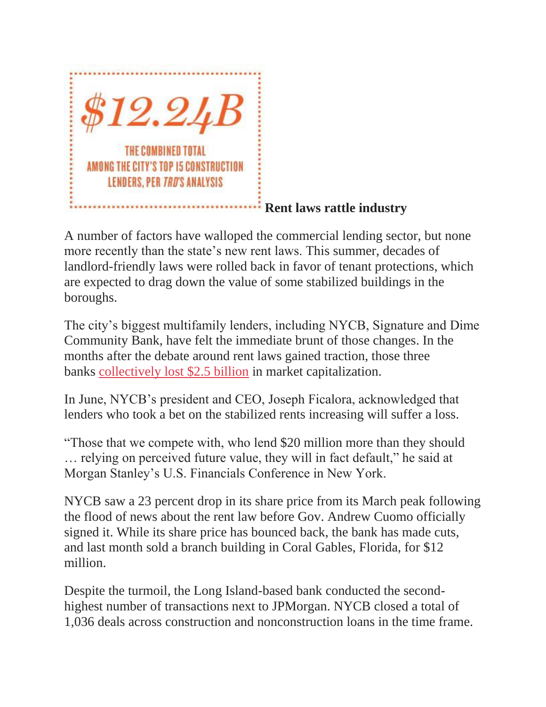

#### **Rent laws rattle industry**

A number of factors have walloped the commercial lending sector, but none more recently than the state's new rent laws. This summer, decades of landlord-friendly laws were rolled back in favor of tenant protections, which are expected to drag down the value of some stabilized buildings in the boroughs.

The city's biggest multifamily lenders, including NYCB, Signature and Dime Community Bank, have felt the immediate brunt of those changes. In the months after the debate around rent laws gained traction, those three banks [collectively lost \\$2.5 billion](https://therealdeal.com/2019/06/13/community-banks-already-feeling-the-squeeze-of-rent-reforms/) in market capitalization.

In June, NYCB's president and CEO, Joseph Ficalora, acknowledged that lenders who took a bet on the stabilized rents increasing will suffer a loss.

"Those that we compete with, who lend \$20 million more than they should … relying on perceived future value, they will in fact default," he said at Morgan Stanley's U.S. Financials Conference in New York.

NYCB saw a 23 percent drop in its share price from its March peak following the flood of news about the rent law before Gov. Andrew Cuomo officially signed it. While its share price has bounced back, the bank has made cuts, and last month sold a branch building in Coral Gables, Florida, for \$12 million.

Despite the turmoil, the Long Island-based bank conducted the secondhighest number of transactions next to JPMorgan. NYCB closed a total of 1,036 deals across construction and nonconstruction loans in the time frame.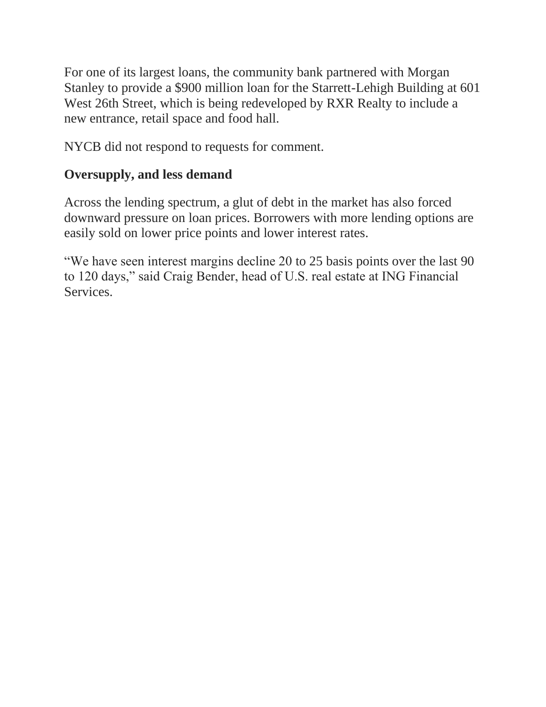For one of its largest loans, the community bank partnered with Morgan Stanley to provide a \$900 million loan for the Starrett-Lehigh Building at 601 West 26th Street, which is being redeveloped by RXR Realty to include a new entrance, retail space and food hall.

NYCB did not respond to requests for comment.

#### **Oversupply, and less demand**

Across the lending spectrum, a glut of debt in the market has also forced downward pressure on loan prices. Borrowers with more lending options are easily sold on lower price points and lower interest rates.

"We have seen interest margins decline 20 to 25 basis points over the last 90 to 120 days," said Craig Bender, head of U.S. real estate at ING Financial Services.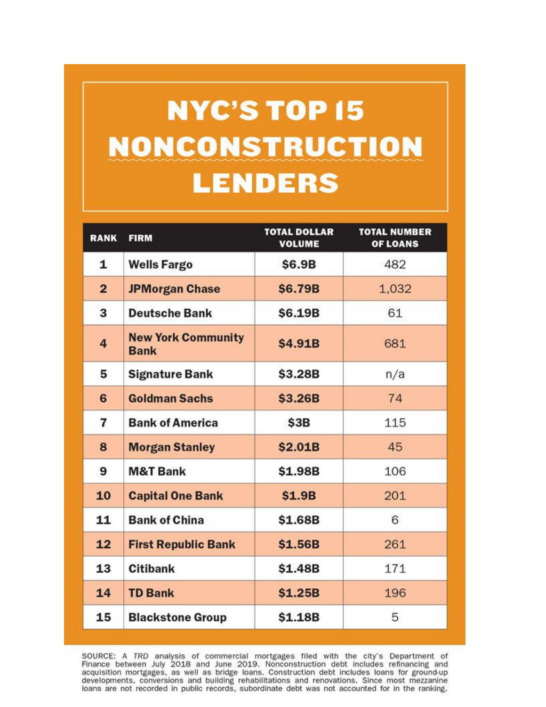## **NYC'S TOP 15 NONCONSTRUCTION LENDERS**

| <b>RANK</b>    | <b>FIRM</b>                              | <b>TOTAL DOLLAR</b><br><b>VOLUME</b> | <b>TOTAL NUMBER</b><br><b>OF LOANS</b> |
|----------------|------------------------------------------|--------------------------------------|----------------------------------------|
| 1              | <b>Wells Fargo</b>                       | \$6.9B                               | 482                                    |
| $\overline{2}$ | <b>JPMorgan Chase</b>                    | \$6.79B                              | 1,032                                  |
| 3              | <b>Deutsche Bank</b>                     | \$6.19B                              | 61                                     |
| 4              | <b>New York Community</b><br><b>Bank</b> | \$4.91B                              | 681                                    |
| 5              | <b>Signature Bank</b>                    | \$3.28B                              | n/a                                    |
| 6              | <b>Goldman Sachs</b>                     | \$3.26B                              | 74                                     |
| 7              | <b>Bank of America</b>                   | \$3B                                 | 115                                    |
| 8              | <b>Morgan Stanley</b>                    | \$2.01B                              | 45                                     |
| 9              | <b>M&amp;T Bank</b>                      | \$1.98B                              | 106                                    |
| 10             | <b>Capital One Bank</b>                  | \$1.9B                               | 201                                    |
| 11             | <b>Bank of China</b>                     | \$1.68B                              | 6                                      |
| 12             | <b>First Republic Bank</b>               | \$1.56B                              | 261                                    |
| 13             | <b>Citibank</b>                          | \$1.48B                              | 171                                    |
| 14             | <b>TD Bank</b>                           | \$1.25B                              | 196                                    |
| 15             | <b>Blackstone Group</b>                  | \$1.18B                              | 5                                      |

SOURCE: A TRD analysis of commercial mortgages filed with the city's Department of Finance between July 2018 and June 2019. Nonconstruction debt includes refinancing and acquisition mortgages, as well as bridge loans. Cons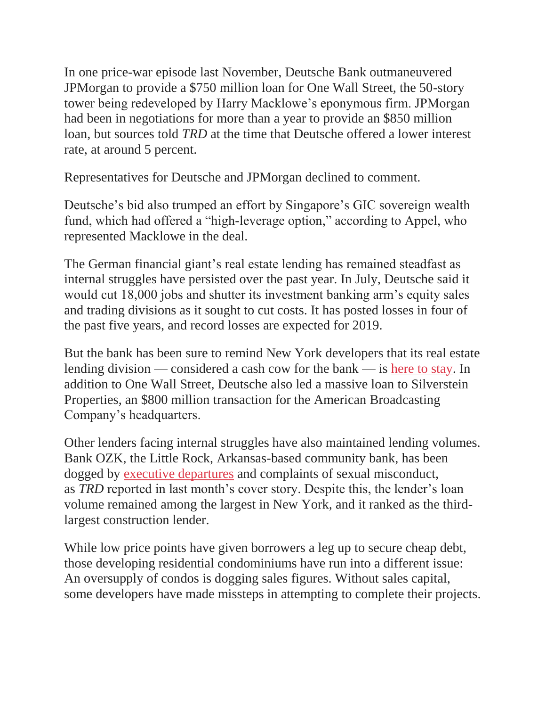In one price-war episode last November, Deutsche Bank outmaneuvered JPMorgan to provide a \$750 million loan for One Wall Street, the 50-story tower being redeveloped by Harry Macklowe's eponymous firm. JPMorgan had been in negotiations for more than a year to provide an \$850 million loan, but sources told *TRD* at the time that Deutsche offered a lower interest rate, at around 5 percent.

Representatives for Deutsche and JPMorgan declined to comment.

Deutsche's bid also trumped an effort by Singapore's GIC sovereign wealth fund, which had offered a "high-leverage option," according to Appel, who represented Macklowe in the deal.

The German financial giant's real estate lending has remained steadfast as internal struggles have persisted over the past year. In July, Deutsche said it would cut 18,000 jobs and shutter its investment banking arm's equity sales and trading divisions as it sought to cut costs. It has posted losses in four of the past five years, and record losses are expected for 2019.

But the bank has been sure to remind New York developers that its real estate lending division — considered a cash cow for the bank — is [here to stay.](https://therealdeal.com/national/2019/07/09/have-no-fear-debt-brokers-say-deutsche-bank-quelled-concerns-about-real-estate-lending/) In addition to One Wall Street, Deutsche also led a massive loan to Silverstein Properties, an \$800 million transaction for the American Broadcasting Company's headquarters.

Other lenders facing internal struggles have also maintained lending volumes. Bank OZK, the Little Rock, Arkansas-based community bank, has been dogged by [executive departures](https://therealdeal.com/issues_articles/why-nycs-most-important-construction-lender-may-be-on-shaky-ground/) and complaints of sexual misconduct, as *TRD* reported in last month's cover story. Despite this, the lender's loan volume remained among the largest in New York, and it ranked as the thirdlargest construction lender.

While low price points have given borrowers a leg up to secure cheap debt, those developing residential condominiums have run into a different issue: An oversupply of condos is dogging sales figures. Without sales capital, some developers have made missteps in attempting to complete their projects.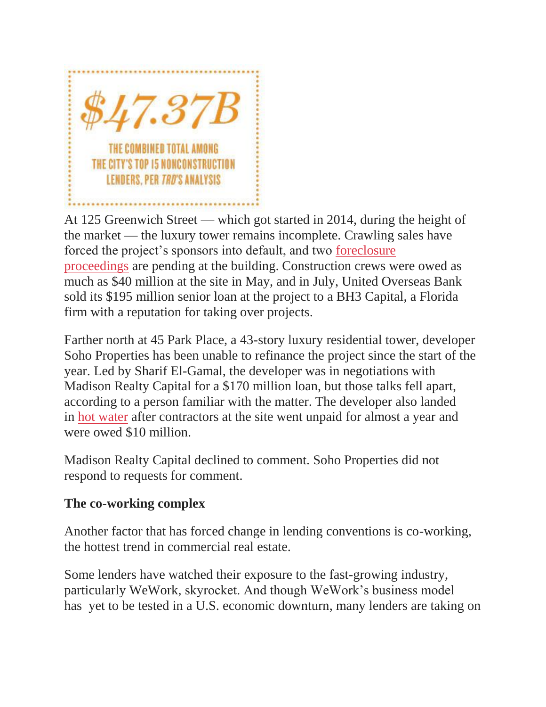

At 125 Greenwich Street — which got started in 2014, during the height of the market — the luxury tower remains incomplete. Crawling sales have forced the project's sponsors into default, and two [foreclosure](https://therealdeal.com/2019/07/02/senior-lender-files-to-foreclose-on-125-greenwich/)  [proceedings](https://therealdeal.com/2019/07/02/senior-lender-files-to-foreclose-on-125-greenwich/) are pending at the building. Construction crews were owed as much as \$40 million at the site in May, and in July, United Overseas Bank sold its \$195 million senior loan at the project to a BH3 Capital, a Florida firm with a reputation for taking over projects.

Farther north at 45 Park Place, a 43-story luxury residential tower, developer Soho Properties has been unable to refinance the project since the start of the year. Led by Sharif El-Gamal, the developer was in negotiations with Madison Realty Capital for a \$170 million loan, but those talks fell apart, according to a person familiar with the matter. The developer also landed in [hot water](https://therealdeal.com/2019/04/30/behind-a-10m-construction-showdown-at-sharif-el-gamals-45-park/) after contractors at the site went unpaid for almost a year and were owed \$10 million.

Madison Realty Capital declined to comment. Soho Properties did not respond to requests for comment.

#### **The co-working complex**

Another factor that has forced change in lending conventions is co-working, the hottest trend in commercial real estate.

Some lenders have watched their exposure to the fast-growing industry, particularly WeWork, skyrocket. And though WeWork's business model has yet to be tested in a U.S. economic downturn, many lenders are taking on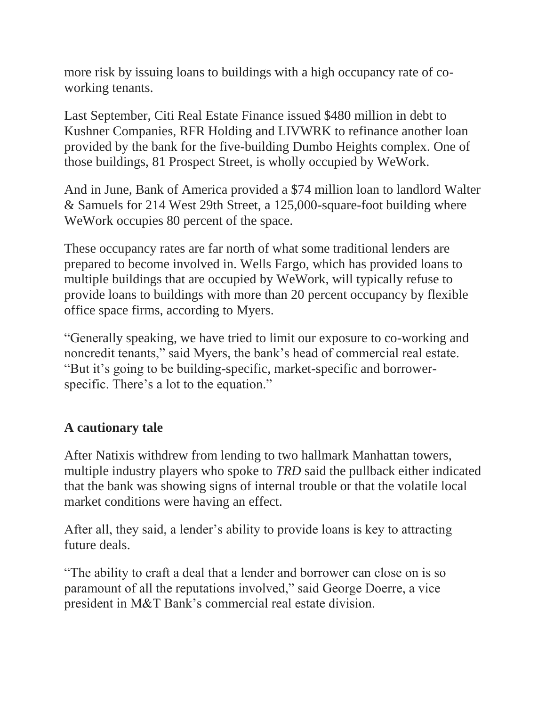more risk by issuing loans to buildings with a high occupancy rate of coworking tenants.

Last September, Citi Real Estate Finance issued \$480 million in debt to Kushner Companies, RFR Holding and LIVWRK to refinance another loan provided by the bank for the five-building Dumbo Heights complex. One of those buildings, 81 Prospect Street, is wholly occupied by WeWork.

And in June, Bank of America provided a \$74 million loan to landlord Walter & Samuels for 214 West 29th Street, a 125,000-square-foot building where WeWork occupies 80 percent of the space.

These occupancy rates are far north of what some traditional lenders are prepared to become involved in. Wells Fargo, which has provided loans to multiple buildings that are occupied by WeWork, will typically refuse to provide loans to buildings with more than 20 percent occupancy by flexible office space firms, according to Myers.

"Generally speaking, we have tried to limit our exposure to co-working and noncredit tenants," said Myers, the bank's head of commercial real estate. "But it's going to be building-specific, market-specific and borrowerspecific. There's a lot to the equation."

#### **A cautionary tale**

After Natixis withdrew from lending to two hallmark Manhattan towers, multiple industry players who spoke to *TRD* said the pullback either indicated that the bank was showing signs of internal trouble or that the volatile local market conditions were having an effect.

After all, they said, a lender's ability to provide loans is key to attracting future deals.

"The ability to craft a deal that a lender and borrower can close on is so paramount of all the reputations involved," said George Doerre, a vice president in M&T Bank's commercial real estate division.